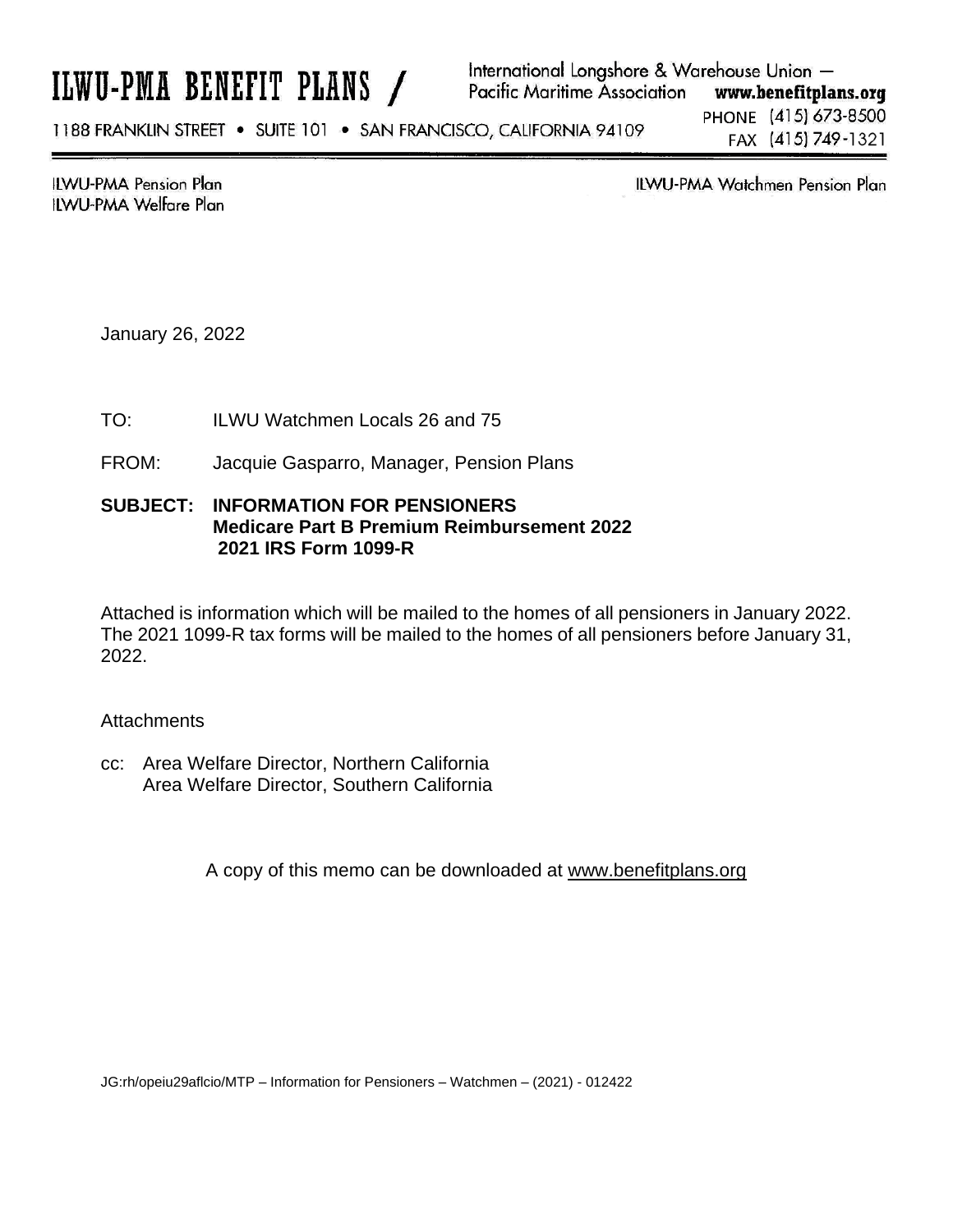# ILWU-PMA BENEFIT PLANS /

International Longshore & Warehouse Union -Pacific Maritime Association www.benefitplans.org PHONE (415) 673-8500 1188 FRANKLIN STREET . SUITE 101 . SAN FRANCISCO, CALIFORNIA 94109 FAX (415) 749-1321

**ILWU-PMA Pension Plan ILWU-PMA Welfare Plan**  **ILWU-PMA Watchmen Pension Plan** 

January 26, 2022

- TO: ILWU Watchmen Locals 26 and 75
- FROM: Jacquie Gasparro, Manager, Pension Plans

### **SUBJECT: INFORMATION FOR PENSIONERS Medicare Part B Premium Reimbursement 2022 2021 IRS Form 1099-R**

Attached is information which will be mailed to the homes of all pensioners in January 2022. The 2021 1099-R tax forms will be mailed to the homes of all pensioners before January 31, 2022.

#### **Attachments**

cc: Area Welfare Director, Northern California Area Welfare Director, Southern California

A copy of this memo can be downloaded at www.benefitplans.org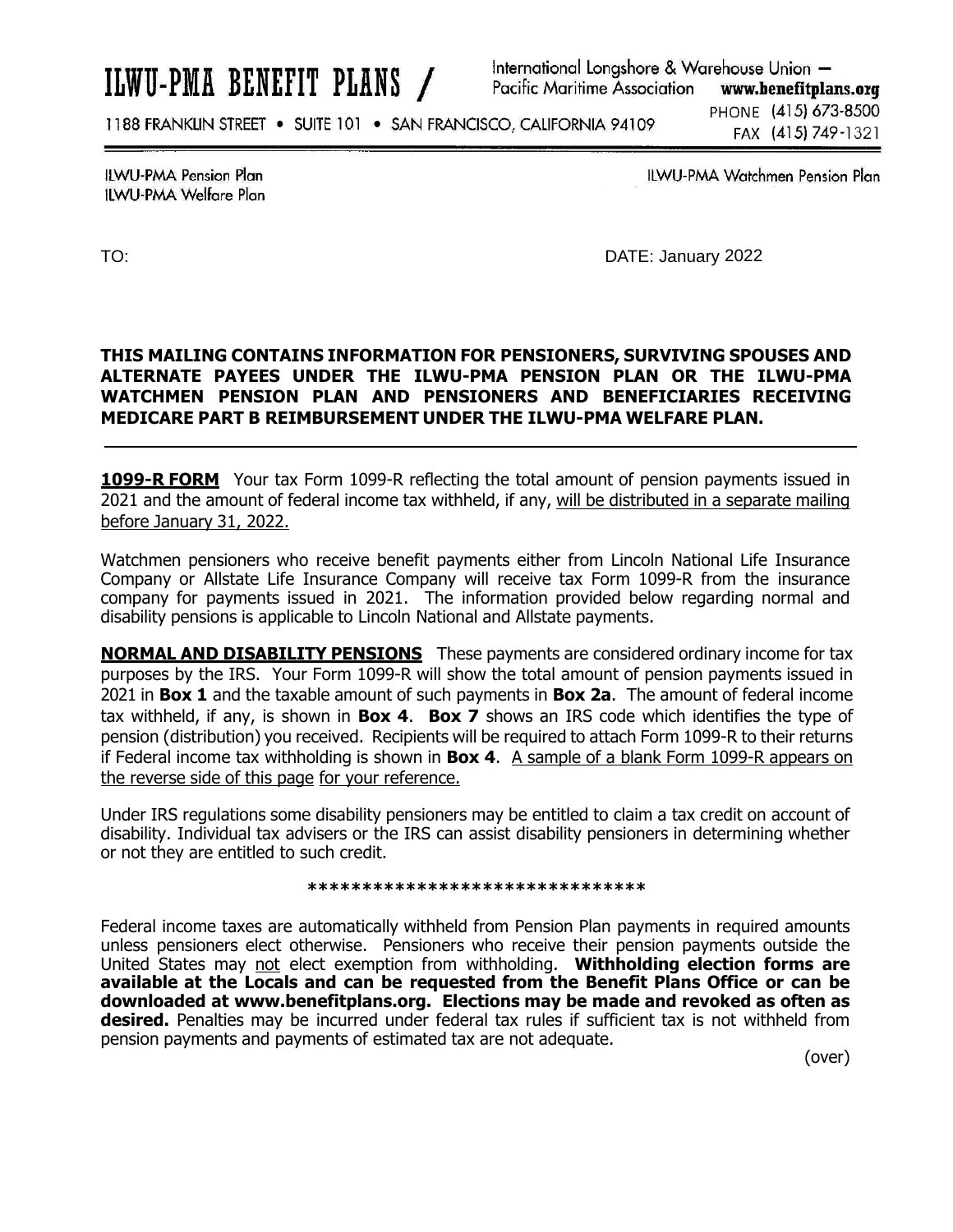# ILWU-PMA BENEFIT PLANS /

International Longshore & Warehouse Union -**Pacific Maritime Association** www.benefitplans.org

1188 FRANKLIN STREET . SUITE 101 . SAN FRANCISCO, CALIFORNIA 94109

PHONE (415) 673-8500 FAX (415) 749-1321

**ILWU-PMA Pension Plan ILWU-PMA Welfare Plan**  **ILWU-PMA Watchmen Pension Plan** 

TO: DATE: January 2022

#### **THIS MAILING CONTAINS INFORMATION FOR PENSIONERS, SURVIVING SPOUSES AND ALTERNATE PAYEES UNDER THE ILWU-PMA PENSION PLAN OR THE ILWU-PMA WATCHMEN PENSION PLAN AND PENSIONERS AND BENEFICIARIES RECEIVING MEDICARE PART B REIMBURSEMENT UNDER THE ILWU-PMA WELFARE PLAN.**

**1099-R FORM** Your tax Form 1099-R reflecting the total amount of pension payments issued in 2021 and the amount of federal income tax withheld, if any, will be distributed in a separate mailing before January 31, 2022.

Watchmen pensioners who receive benefit payments either from Lincoln National Life Insurance Company or Allstate Life Insurance Company will receive tax Form 1099-R from the insurance company for payments issued in 2021. The information provided below regarding normal and disability pensions is applicable to Lincoln National and Allstate payments.

**NORMAL AND DISABILITY PENSIONS** These payments are considered ordinary income for tax purposes by the IRS. Your Form 1099-R will show the total amount of pension payments issued in 2021 in **Box 1** and the taxable amount of such payments in **Box 2a**. The amount of federal income tax withheld, if any, is shown in **Box 4**. **Box 7** shows an IRS code which identifies the type of pension (distribution) you received. Recipients will be required to attach Form 1099-R to their returns if Federal income tax withholding is shown in **Box 4**. A sample of a blank Form 1099-R appears on the reverse side of this page for your reference.

Under IRS regulations some disability pensioners may be entitled to claim a tax credit on account of disability. Individual tax advisers or the IRS can assist disability pensioners in determining whether or not they are entitled to such credit.

#### **\*\*\*\*\*\*\*\*\*\*\*\*\*\*\*\*\*\*\*\*\*\*\*\*\*\*\*\*\*\*\***

Federal income taxes are automatically withheld from Pension Plan payments in required amounts unless pensioners elect otherwise. Pensioners who receive their pension payments outside the United States may not elect exemption from withholding. **Withholding election forms are available at the Locals and can be requested from the Benefit Plans Office or can be downloaded at www.benefitplans.org. Elections may be made and revoked as often as desired.** Penalties may be incurred under federal tax rules if sufficient tax is not withheld from pension payments and payments of estimated tax are not adequate.

(over)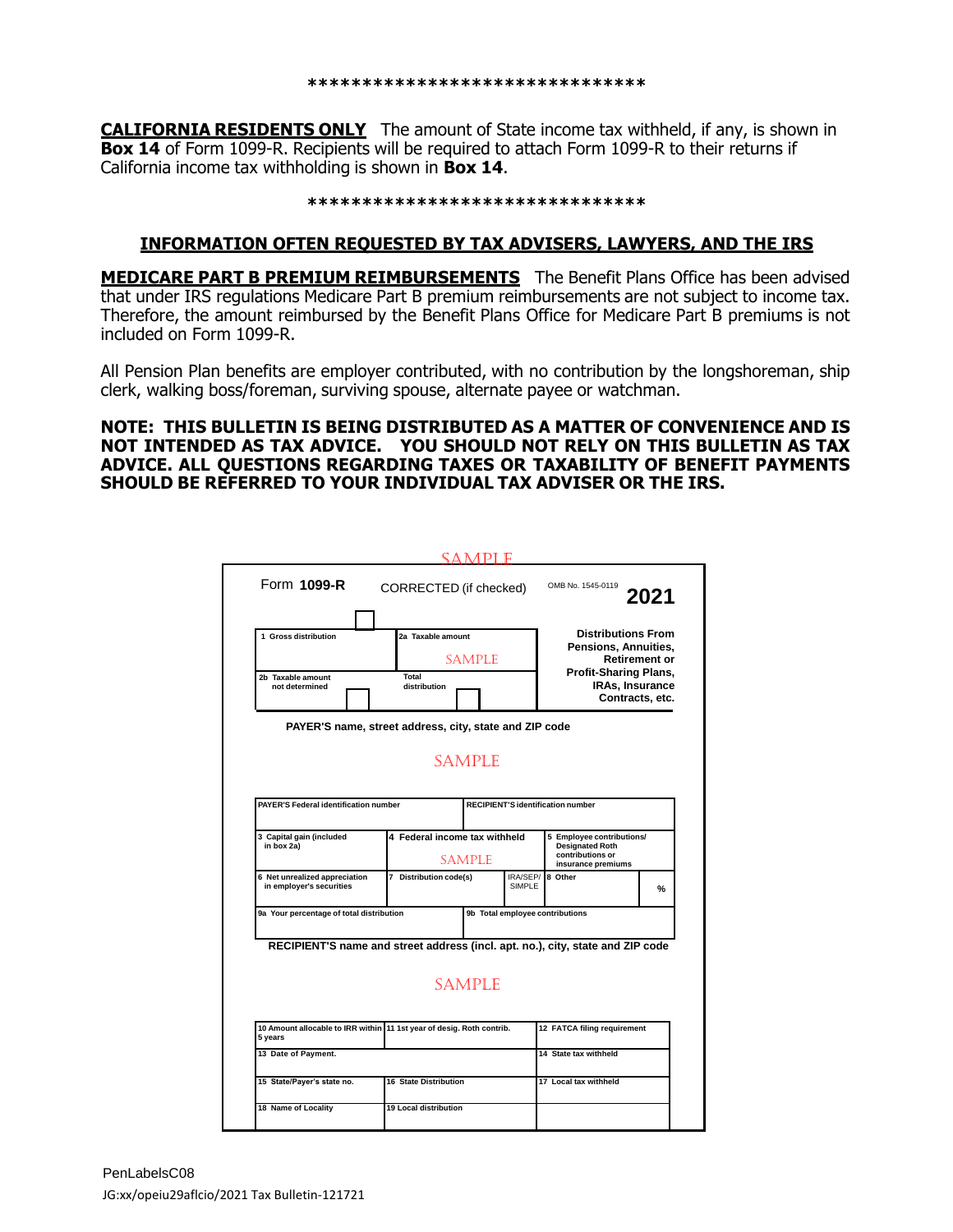**CALIFORNIA RESIDENTS ONLY** The amount of State income tax withheld, if any, is shown in **Box 14** of Form 1099-R. Recipients will be required to attach Form 1099-R to their returns if California income tax withholding is shown in **Box 14**.

#### **\*\*\*\*\*\*\*\*\*\*\*\*\*\*\*\*\*\*\*\*\*\*\*\*\*\*\*\*\*\*\***

#### **INFORMATION OFTEN REQUESTED BY TAX ADVISERS, LAWYERS, AND THE IRS**

**MEDICARE PART B PREMIUM REIMBURSEMENTS** The Benefit Plans Office has been advised that under IRS regulations Medicare Part B premium reimbursements are not subject to income tax. Therefore, the amount reimbursed by the Benefit Plans Office for Medicare Part B premiums is not included on Form 1099-R.

All Pension Plan benefits are employer contributed, with no contribution by the longshoreman, ship clerk, walking boss/foreman, surviving spouse, alternate payee or watchman.

#### **NOTE: THIS BULLETIN IS BEING DISTRIBUTED AS A MATTER OF CONVENIENCE AND IS NOT INTENDED AS TAX ADVICE. YOU SHOULD NOT RELY ON THIS BULLETIN AS TAX ADVICE. ALL QUESTIONS REGARDING TAXES OR TAXABILITY OF BENEFIT PAYMENTS SHOULD BE REFERRED TO YOUR INDIVIDUAL TAX ADVISER OR THE IRS.**

|                                                                                |                                                                       | S A M PI                                       |                           |                                                                                                                                |                      |
|--------------------------------------------------------------------------------|-----------------------------------------------------------------------|------------------------------------------------|---------------------------|--------------------------------------------------------------------------------------------------------------------------------|----------------------|
| Form 1099-R                                                                    | CORRECTED (if checked)                                                |                                                |                           | OMB No. 1545-0119                                                                                                              | 2021                 |
| 1 Gross distribution<br>2b Taxable amount<br>not determined                    | 2a Taxable amount<br>Total<br>distribution                            | <b>SAMPLE</b>                                  |                           | <b>Distributions From</b><br>Pensions, Annuities,<br><b>Profit-Sharing Plans,</b><br><b>IRAs, Insurance</b><br>Contracts, etc. | <b>Retirement or</b> |
|                                                                                | PAYER'S name, street address, city, state and ZIP code                |                                                |                           |                                                                                                                                |                      |
| <b>PAYER'S Federal identification number</b>                                   |                                                                       | <b>SAMPLE</b>                                  |                           | <b>RECIPIENT'S identification number</b>                                                                                       |                      |
|                                                                                |                                                                       |                                                |                           |                                                                                                                                |                      |
| 3 Capital gain (included<br>in box 2a)                                         |                                                                       | 4 Federal income tax withheld<br><b>SAMPLE</b> |                           | 5 Employee contributions/<br><b>Designated Roth</b><br>contributions or<br>insurance premiums                                  |                      |
| 6 Net unrealized appreciation<br>in employer's securities                      | 7 Distribution code(s)                                                |                                                | IRA/SEP/<br><b>SIMPLE</b> | 8 Other                                                                                                                        | %                    |
| 9a Your percentage of total distribution                                       |                                                                       |                                                |                           | 9b Total employee contributions                                                                                                |                      |
| RECIPIENT'S name and street address (incl. apt. no.), city, state and ZIP code |                                                                       | <b>SAMPLE</b>                                  |                           |                                                                                                                                |                      |
| 5 years                                                                        | 10 Amount allocable to IRR within 11 1st year of desig. Roth contrib. |                                                |                           | 12 FATCA filing requirement                                                                                                    |                      |
| 13 Date of Payment.                                                            |                                                                       |                                                |                           | 14 State tax withheld                                                                                                          |                      |
|                                                                                |                                                                       | <b>16 State Distribution</b>                   |                           | 17 Local tax withheld                                                                                                          |                      |
| 15 State/Payer's state no.                                                     |                                                                       |                                                |                           |                                                                                                                                |                      |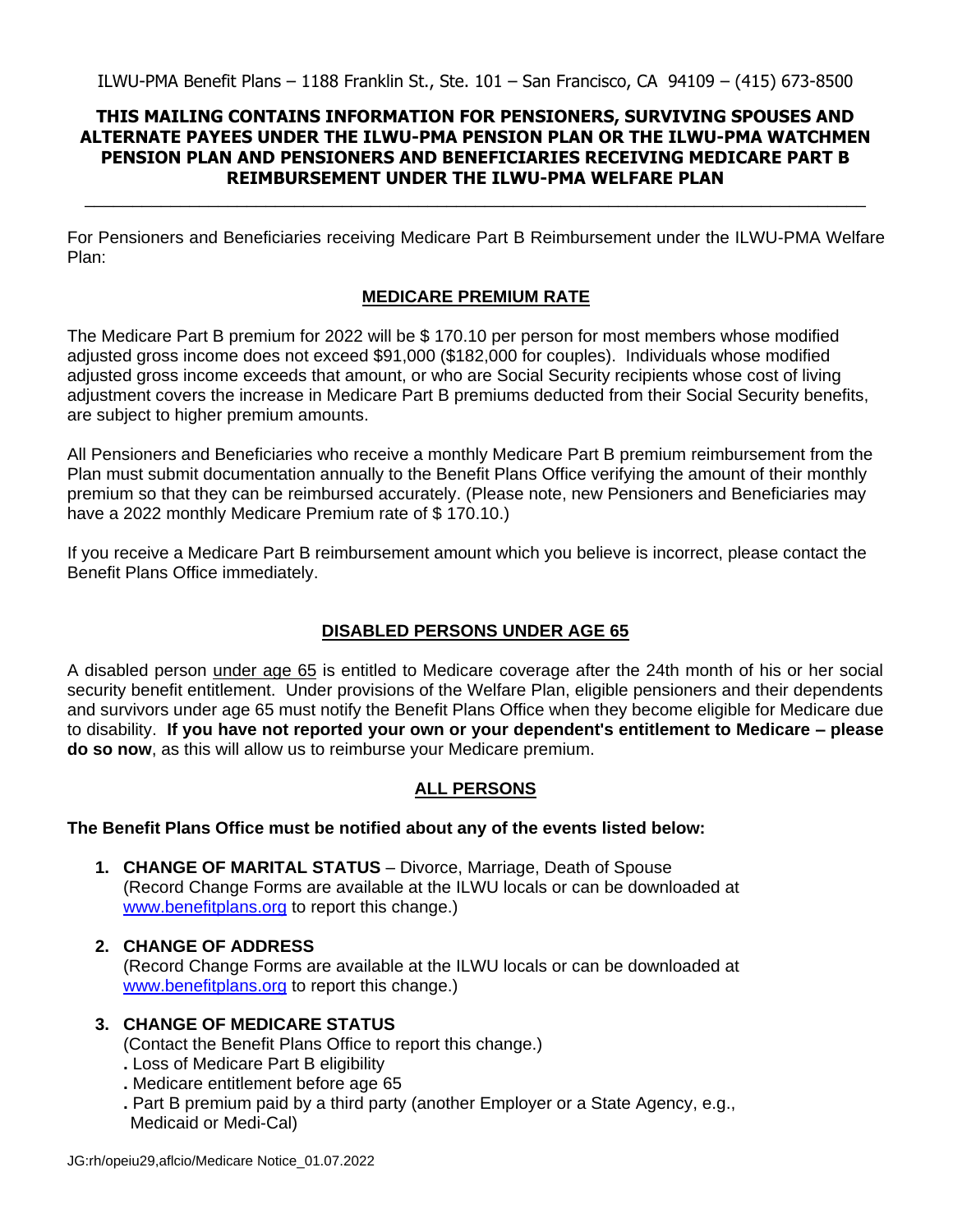#### **THIS MAILING CONTAINS INFORMATION FOR PENSIONERS, SURVIVING SPOUSES AND ALTERNATE PAYEES UNDER THE ILWU-PMA PENSION PLAN OR THE ILWU-PMA WATCHMEN PENSION PLAN AND PENSIONERS AND BENEFICIARIES RECEIVING MEDICARE PART B REIMBURSEMENT UNDER THE ILWU-PMA WELFARE PLAN**

\_\_\_\_\_\_\_\_\_\_\_\_\_\_\_\_\_\_\_\_\_\_\_\_\_\_\_\_\_\_\_\_\_\_\_\_\_\_\_\_\_\_\_\_\_\_\_\_\_\_\_\_\_\_\_\_\_\_\_\_\_\_\_\_\_\_\_\_\_\_\_\_\_\_\_\_\_\_\_\_\_\_

For Pensioners and Beneficiaries receiving Medicare Part B Reimbursement under the ILWU-PMA Welfare Plan:

### **MEDICARE PREMIUM RATE**

The Medicare Part B premium for 2022 will be \$ 170.10 per person for most members whose modified adjusted gross income does not exceed \$91,000 (\$182,000 for couples). Individuals whose modified adjusted gross income exceeds that amount, or who are Social Security recipients whose cost of living adjustment covers the increase in Medicare Part B premiums deducted from their Social Security benefits, are subject to higher premium amounts.

All Pensioners and Beneficiaries who receive a monthly Medicare Part B premium reimbursement from the Plan must submit documentation annually to the Benefit Plans Office verifying the amount of their monthly premium so that they can be reimbursed accurately. (Please note, new Pensioners and Beneficiaries may have a 2022 monthly Medicare Premium rate of \$170.10.)

If you receive a Medicare Part B reimbursement amount which you believe is incorrect, please contact the Benefit Plans Office immediately.

#### **DISABLED PERSONS UNDER AGE 65**

A disabled person under age 65 is entitled to Medicare coverage after the 24th month of his or her social security benefit entitlement. Under provisions of the Welfare Plan, eligible pensioners and their dependents and survivors under age 65 must notify the Benefit Plans Office when they become eligible for Medicare due to disability. **If you have not reported your own or your dependent's entitlement to Medicare – please do so now**, as this will allow us to reimburse your Medicare premium.

#### **ALL PERSONS**

#### **The Benefit Plans Office must be notified about any of the events listed below:**

- **1. CHANGE OF MARITAL STATUS** Divorce, Marriage, Death of Spouse (Record Change Forms are available at the ILWU locals or can be downloaded at [www.benefitplans.org](http://www.benefitplans.org/) to report this change.)
- **2. CHANGE OF ADDRESS** (Record Change Forms are available at the ILWU locals or can be downloaded at [www.benefitplans.org](http://www.benefitplans.org/) to report this change.)
- **3. CHANGE OF MEDICARE STATUS**

(Contact the Benefit Plans Office to report this change.)

- **.** Loss of Medicare Part B eligibility
- **.** Medicare entitlement before age 65
- **.** Part B premium paid by a third party (another Employer or a State Agency, e.g., Medicaid or Medi-Cal)